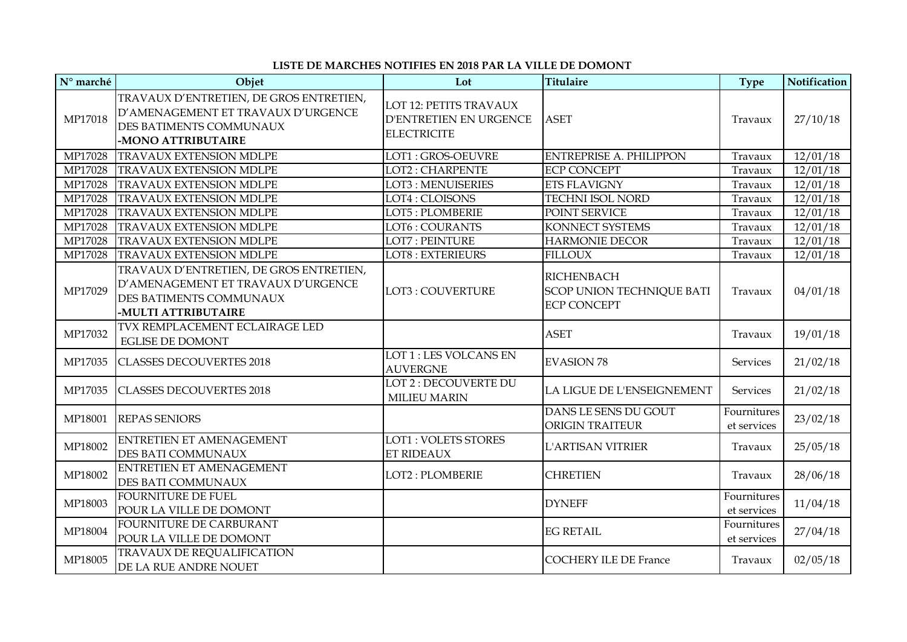## **LISTE DE MARCHES NOTIFIES EN 2018 PAR LA VILLE DE DOMONT**

| $\mathbf{N}^\text{o}$ marché | Objet                                                                                                                           | Lot                                                                    | <b>Titulaire</b>                                                     | <b>Type</b>                | Notification |
|------------------------------|---------------------------------------------------------------------------------------------------------------------------------|------------------------------------------------------------------------|----------------------------------------------------------------------|----------------------------|--------------|
| MP17018                      | TRAVAUX D'ENTRETIEN, DE GROS ENTRETIEN,<br>D'AMENAGEMENT ET TRAVAUX D'URGENCE<br>DES BATIMENTS COMMUNAUX<br>-MONO ATTRIBUTAIRE  | LOT 12: PETITS TRAVAUX<br>D'ENTRETIEN EN URGENCE<br><b>ELECTRICITE</b> | <b>ASET</b>                                                          | Travaux                    | 27/10/18     |
| MP17028                      | <b>TRAVAUX EXTENSION MDLPE</b>                                                                                                  | LOT1: GROS-OEUVRE                                                      | <b>ENTREPRISE A. PHILIPPON</b>                                       | Travaux                    | 12/01/18     |
| MP17028                      | <b>TRAVAUX EXTENSION MDLPE</b>                                                                                                  | <b>LOT2: CHARPENTE</b>                                                 | <b>ECP CONCEPT</b>                                                   | Travaux                    | 12/01/18     |
| MP17028                      | <b>TRAVAUX EXTENSION MDLPE</b>                                                                                                  | <b>LOT3: MENUISERIES</b>                                               | <b>ETS FLAVIGNY</b>                                                  | Travaux                    | 12/01/18     |
| MP17028                      | <b>TRAVAUX EXTENSION MDLPE</b>                                                                                                  | LOT4: CLOISONS                                                         | <b>TECHNI ISOL NORD</b>                                              | Travaux                    | 12/01/18     |
| MP17028                      | <b>TRAVAUX EXTENSION MDLPE</b>                                                                                                  | LOT5: PLOMBERIE                                                        | POINT SERVICE                                                        | Travaux                    | 12/01/18     |
| MP17028                      | <b>TRAVAUX EXTENSION MDLPE</b>                                                                                                  | LOT6: COURANTS                                                         | <b>KONNECT SYSTEMS</b>                                               | Travaux                    | 12/01/18     |
| MP17028                      | <b>TRAVAUX EXTENSION MDLPE</b>                                                                                                  | <b>LOT7: PEINTURE</b>                                                  | <b>HARMONIE DECOR</b>                                                | Travaux                    | 12/01/18     |
| MP17028                      | <b>TRAVAUX EXTENSION MDLPE</b>                                                                                                  | LOT8 : EXTERIEURS                                                      | <b>FILLOUX</b>                                                       | Travaux                    | 12/01/18     |
| MP17029                      | TRAVAUX D'ENTRETIEN, DE GROS ENTRETIEN,<br>D'AMENAGEMENT ET TRAVAUX D'URGENCE<br>DES BATIMENTS COMMUNAUX<br>-MULTI ATTRIBUTAIRE | <b>LOT3: COUVERTURE</b>                                                | RICHENBACH<br><b>SCOP UNION TECHNIQUE BATI</b><br><b>ECP CONCEPT</b> | Travaux                    | 04/01/18     |
| MP17032                      | TVX REMPLACEMENT ECLAIRAGE LED<br><b>EGLISE DE DOMONT</b>                                                                       |                                                                        | <b>ASET</b>                                                          | Travaux                    | 19/01/18     |
| MP17035                      | <b>CLASSES DECOUVERTES 2018</b>                                                                                                 | LOT 1 : LES VOLCANS EN<br><b>AUVERGNE</b>                              | <b>EVASION 78</b>                                                    | Services                   | 21/02/18     |
| MP17035                      | <b>CLASSES DECOUVERTES 2018</b>                                                                                                 | LOT 2 : DECOUVERTE DU<br><b>MILIEU MARIN</b>                           | LA LIGUE DE L'ENSEIGNEMENT                                           | <b>Services</b>            | 21/02/18     |
| MP18001                      | <b>REPAS SENIORS</b>                                                                                                            |                                                                        | DANS LE SENS DU GOUT<br><b>ORIGIN TRAITEUR</b>                       | Fournitures<br>et services | 23/02/18     |
| MP18002                      | <b>ENTRETIEN ET AMENAGEMENT</b><br>DES BATI COMMUNAUX                                                                           | <b>LOT1: VOLETS STORES</b><br>ET RIDEAUX                               | <b>L'ARTISAN VITRIER</b>                                             | Travaux                    | 25/05/18     |
| MP18002                      | ENTRETIEN ET AMENAGEMENT<br>DES BATI COMMUNAUX                                                                                  | LOT2: PLOMBERIE                                                        | <b>CHRETIEN</b>                                                      | Travaux                    | 28/06/18     |
| MP18003                      | <b>FOURNITURE DE FUEL</b><br>POUR LA VILLE DE DOMONT                                                                            |                                                                        | <b>DYNEFF</b>                                                        | Fournitures<br>et services | 11/04/18     |
| MP18004                      | FOURNITURE DE CARBURANT<br>POUR LA VILLE DE DOMONT                                                                              |                                                                        | <b>EG RETAIL</b>                                                     | Fournitures<br>et services | 27/04/18     |
| MP18005                      | TRAVAUX DE REQUALIFICATION<br>DE LA RUE ANDRE NOUET                                                                             |                                                                        | <b>COCHERY ILE DE France</b>                                         | Travaux                    | 02/05/18     |